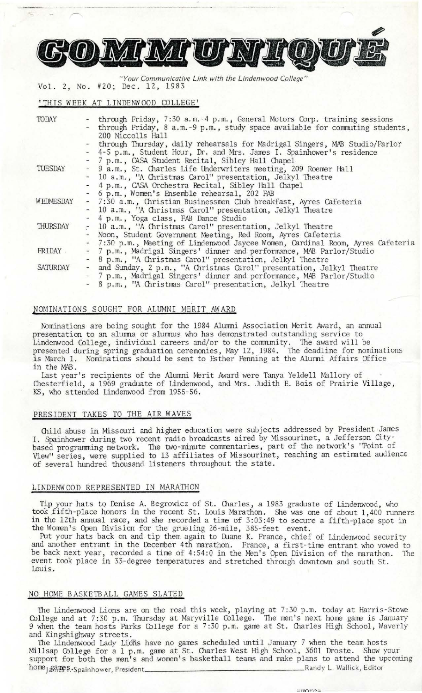

*" Your Communicative Link with the Lindenwood College"*  2, No. #20; Dec. 12, 1983

## **'THIS** WEEK AT LINDENWOOD COLLEGE'

| TODAY     | - through Friday, 7:30 a.m.-4 p.m., General Motors Corp. training sessions      |
|-----------|---------------------------------------------------------------------------------|
|           | - through Friday, 8 a.m.-9 p.m., study space available for commuting students,  |
|           | 200 Niccolls Hall                                                               |
|           | through Thursday, daily rehearsals for Madrigal Singers, MAB Studio/Parlor      |
|           | - 4-5 p.m., Student Hour, Dr. and Mrs. James I. Spainhower's residence          |
|           | - 7 p.m., CASA Student Recital, Sibley Hall Chapel                              |
| TUESDAY   | - 9 a.m., St. Charles Life Underwriters meeting, 209 Roemer Hall                |
|           | - 10 a.m., "A Christmas Carol" presentation, Jelkyl Theatre                     |
|           | - 4 p.m., CASA Orchestra Recital, Sibley Hall Chapel                            |
|           | - 6 p.m., Women's Ensemble rehearsal, 202 FAB                                   |
| WEDNESDAY | - 7:30 a.m., Christian Businessmen Club breakfast, Ayres Cafeteria              |
|           | - 10 a.m., "A Christmas Carol" presentation, Jelkyl Theatre                     |
|           | - 4 p.m., Yoga class, FAB Dance Studio                                          |
| THURSDAY  | - 10 a.m., "A Christmas Carol" presentation, Jelkyl Theatre                     |
|           | - Noon, Student Government Meeting, Red Room, Ayres Cafeteria                   |
|           | - 7:30 p.m., Meeting of Lindenwood Jaycee Women, Cardinal Room, Ayres Cafeteria |
| FRIDAY    | - 7 p.m., Madrigal Singers' dinner and performance, MAB Parlor/Studio           |
|           | - 8 p.m., "A Christmas Carol" presentation, Jelkyl Theatre                      |
| SATURDAY  | - and Sunday, 2 p.m., "A Christmas Carol" presentation, Jelkyl Theatre          |
|           | - 7 p.m., Madrigal Singers' dinner and performance, MAB Parlor/Studio           |
|           | - 8 p.m., "A Christmas Carol" presentation, Jelkyl Theatre                      |

# NOMINATIONS SOUGHT FOR ALUMNI MERIT AWARD

Nominations are being sought for the 1984 Alumni Association Merit Award, an annual presentation to an alumna or alumnus who has demonstrated outstanding service to Lindenwood College, individual careers and/or to the community. The award will be presented during spring graduation ceremonies, May 12, 1984. The deadline for nominations is March 1. Nominations should be sent to Esther Penning at the Alumni Affairs Office in the MAB.

Last year's recipients of the Alumni Merit Award were Tanya Yeldell Mallory of Chesterfield, a 1969 graduate of Lindenwood, and Mrs. Judith E. Bois of Prairie Village, KS, who attended Lindenwood from 1955-56.

## PRESIDENT TAKES TO THE AIR WAVES

Child abuse in Missouri and higher education were subjects addressed by President James I. Spainhower during two recent radio broadcasts aired by Missourinet, a Jefferson Citybased programming network. The two-minute commentaries, part of the network's "Point of View" series, were supplied to 13 affiliates of Missourinet, reaching an estimated audience of several hundred thousand listeners throughout the state.

# LINDENWOOD REPRESENTED IN MARATHON

Tip your hats to Denise A. Begrowicz of St. Charles, a 1983 graduate of Lindenwood, who took \_fifth-place honors in the recent St. Louis Marathon. She was one of about 1,400 runners in the 12th annual race, and she recorded a time of 3:03:49 to secure a fifth-place spot in the Women's Open Division for the grueling 26-mile, 385-feet event.

Put your hats back on and tip them again to Duane K. France, chief of Lindenwood security and another entrant in the December 4th marathon. France, a first-time entrant who vowed to be back next year, recorded a time of 4:54:0 in the Men's Open Division of the marathon. The event took place in 33-degree temperatures and stretched through downtown and south St. Louis.

#### NO HOME BASKETBALL GAMES SLATED

The Lindenwood Lions are on the road this week, playing at 7:30 p.m. today at Harris-Stowe College and at 7:30 p.m. Thursday at Maryville College. The men's next home game is January 9 when the team hosts Parks College for a 7:30 p.m. game at St. Charles High School, Waverly and Kingshighway streets.

The Lindenwood Lady Lions have no games scheduled until January 7 when the team hosts Millsap College for a 1 p.m. game at St. Charles West High School, 3601 Droste. Show your support for both the men's and women's basketball teams and make plans to attend the upcoming home  $\beta$  and  $\beta$ . Wallick, Editor